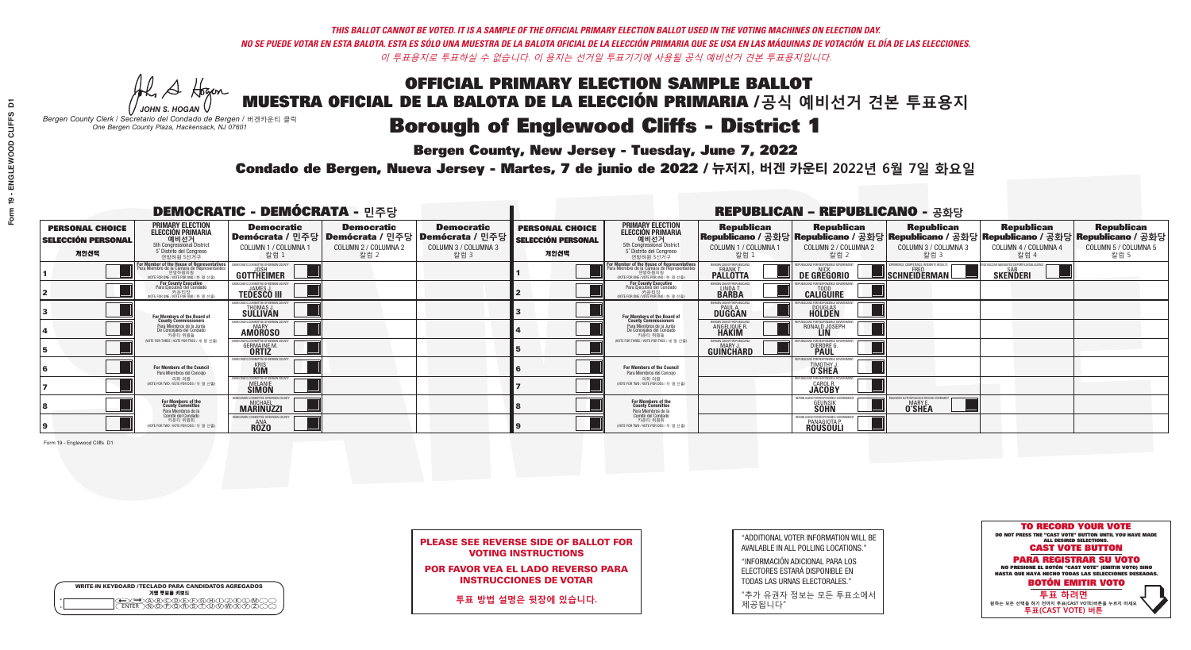A Hogen

**Bergen County, New Jersey - Tuesday, June 7, 2022** 

| <b>WRITE-IN KEYBOARD /TECLADO PARA CANDIDATOS AGREGADOS</b><br>기명 투표용 키보드 |  |
|---------------------------------------------------------------------------|--|
| @®©®©©©®<br>®®®®®®®®®                                                     |  |

*JOHN S. HOGAN Bergen County Clerk / Secretario del Condado de Bergen /* 버겐카운티 클럭 *One Bergen County Plaza, Hackensack, NJ 07601*

Condado de Bergen, Nueva Jersey - Martes, 7 de junio de 2022 / 뉴저지, 버겐 카운티 2022년 6월 7일 화요일 *One Bergen County Plaza, Hackensack, NJ 07601*



|                            | <b>PLEASE SEE REVERSE SIDE OF BALLOT FOR</b> |
|----------------------------|----------------------------------------------|
| <b>VOTING INSTRUCTIONS</b> |                                              |

POR FAVOR VEA EL LADO REVERSO PARA INSTRUCCIONES DE VOTAR

**투표 방법 설명은 뒷장에 있습니다.**

"ADDITIONAL VOTER INFORMATION WILL BE AVAILABLE IN ALL POLLING LOCATIONS."

"INFORMACIÓN ADICIONAL PARA LOS ELECTORES ESTARÁ DISPONIBLE EN TODAS LAS URNAS ELECTORALES."

"추가 유권자 정보는 모든 투표소에서 제공됩니다"

|                                                             | <b>DEMOCRATIC - DEMÓCRATA - 민주당</b>                                                                                                           |                                                                             |                                                                                       |                                                                      | <b>REPUBLICAN - REPUBLICANO - 공화당</b>                       |                                                                                                                                               |                                                           |                                                                         |                                                   |                                                                                                                                                |                                                   |
|-------------------------------------------------------------|-----------------------------------------------------------------------------------------------------------------------------------------------|-----------------------------------------------------------------------------|---------------------------------------------------------------------------------------|----------------------------------------------------------------------|-------------------------------------------------------------|-----------------------------------------------------------------------------------------------------------------------------------------------|-----------------------------------------------------------|-------------------------------------------------------------------------|---------------------------------------------------|------------------------------------------------------------------------------------------------------------------------------------------------|---------------------------------------------------|
| <b>PERSONAL CHOICE</b><br><b>SELECCIÓN PERSONAL</b><br>개인선택 | <b>PRIMARY ELECTION</b><br><b>ELECCIÓN PRIMARIA</b><br>5th Congressional District<br>5 <sup>6</sup> Distrito del Congreso<br>연방하원 5선거구        | <b>Democratic</b><br>COLUMN 1 / COLUMNA 1<br>칼럼 1                           | <b>Democratic</b><br>│Demócrata / 민주당│Demócrata / 민주당<br>COLUMN 2 / COLUMNA 2<br>칼럼 2 | <b>Democratic</b><br>Demócrata / 민주당<br>COLUMN 3 / COLUMNA 3<br>칼럼 3 | <b>PERSONAL CHOICE</b><br><b>SELECCIÓN PERSONAL</b><br>개인선택 | <b>PRIMARY ELECTION</b><br><b>ELECCIÓN PRIMARIA</b><br>예비선거<br><sup>5th</sup> Congressional District<br>5° Distrito del Congreso<br>연방하원 5선거구 | <b>Republican</b><br>COLUMN 1 / COLUMNA 1<br>칼럼 :         | <b>Republican</b><br>COLUMN 2 / COLUMNA 2<br>칼럼 2                       | <b>Republican</b><br>COLUMN 3 / COLUMNA 3<br>칼럼 3 | <b>Republican</b><br>Republicano / 공화당 Republicano / 공화당 Republicano / 공화당 Republicano / 공화당 Republicano / 공화당<br>COLUMN 4 / COLUMNA 4<br>칼럼 4 | <b>Republican</b><br>COLUMN 5 / COLUMNA 5<br>칼럼 5 |
|                                                             | For Member of the House of Representatives<br>Para Miembro de la Cámara de Representantes<br>연방하원의원<br>(VOTE FOR ONE / VOTE POR UNO / 한 명 선출) | DEMOCRATIC COMMITTEE OF BERGEN COUNTY<br>JOSH<br><b>GOTTHEIMER</b>          |                                                                                       |                                                                      |                                                             | For Member of the House of Representatives<br>Para Miembro de la Cámara de Representantes<br>연방하원의원<br>WOTE FOR ONE / VOTE POR UNO / 한 명 선출   | BERGEN COUNTY REPUBLICANS<br><b>PALLOTTA</b>              | DE GREGORIO                                                             | SCHNEIDERMAN                                      | ) VACCINE MANDATES, DEPORT ILLEGAL ALIENS. [<br><b>SKENDERI</b>                                                                                |                                                   |
|                                                             | For County Executive<br>Para Ejecutivo del Condado<br>가운티장<br>(VOTE FOR ONE / VOTE POR UNO / 한 명 선출)                                          | JEMOCRATIC COMMITTEE OF BERGEN COUNTY<br><b>TEDESCO III</b>                 |                                                                                       |                                                                      |                                                             | For County Executive<br>Para Ejecutivo del Condado<br>7) 카운티장<br>(VOTE FOR ONE / VOTE POR UNO / 한 명 선출)                                       | BERGEN COUNTY REPUBLICAN<br>LINDA T.                      | <b>CALIGUIRE</b>                                                        |                                                   |                                                                                                                                                |                                                   |
|                                                             | For Members of the Board of<br>County Commissioners                                                                                           | MOCRATIC COMMITTEE OF BERGEN COUNT<br>THOMAS J.                             |                                                                                       |                                                                      |                                                             | For Members of the Board of<br>County Commissioners                                                                                           | ERGEN COUNTY REPUBLICAN<br><b>PAUL A</b><br><b>DUGGAN</b> | <b>DOUGLAS</b>                                                          |                                                   |                                                                                                                                                |                                                   |
|                                                             | Para Miembros de la Junta<br>De Concejales del Condado<br>카우티 위원들                                                                             | <b>EMOCRATIC COMMITTEE OF BERGEN COUNT</b><br><b>MARY</b><br><b>AMOROSO</b> |                                                                                       |                                                                      |                                                             | Para Miembros de la Junta<br>De Concejales del Condado<br>카우티 위원들                                                                             | ERGEN COUNTY REPUBLICAN!<br><b>ANGELIQUE R.</b>           | INS FOR RESPONSIRI E GO'<br>RONALD JOSEPH                               |                                                   |                                                                                                                                                |                                                   |
|                                                             | NOTE FOR THREE / VOTE POR TRES / 세 명 선출)                                                                                                      | OCRATIC COMMITTEE OF BERGEN COUN<br><b>GERMAINE M.</b>                      |                                                                                       |                                                                      |                                                             | WOTE FOR THREE / VOTE POR TRES / 세 명 선출!                                                                                                      | ERGEN COUNTY REPUBLICANS<br>MARY J<br>GUIÑCHARD           | DIERDRE <sup>C</sup>                                                    |                                                   |                                                                                                                                                |                                                   |
|                                                             | <b>For Members of the Council</b><br>Para Miembros del Concejo                                                                                | EMOCRATIC COMMITTEE OF BERGEN COUNT<br><b>KRIS</b><br>KIM                   |                                                                                       |                                                                      |                                                             | For Members of the Council<br>Para Miembros del Concejo                                                                                       |                                                           | TIMOTHY J.                                                              |                                                   |                                                                                                                                                |                                                   |
|                                                             | 의회 의원<br>(VOTE FOR TWO / VOTE POR DOS / 두 명 선출)                                                                                               | EMOCRATIC COMMITTEE OF BERGEN COUNTY<br><b>MELANIE</b><br><b>SIMON</b>      |                                                                                       |                                                                      |                                                             | 의회 의원<br>(VOTE FOR TWO / VOTE POR DOS / 두 명 선출)                                                                                               |                                                           | <b>CAROL R.</b><br><b>JACOBY</b>                                        |                                                   |                                                                                                                                                |                                                   |
|                                                             | For Members of the<br>County Committee<br>Para Miembros de la<br>Comité del Condado                                                           | MICHAEL<br>MARINUZZI                                                        |                                                                                       |                                                                      |                                                             | For Members of the<br>County Committee<br>Para Miembros de la<br>Comité del Condado                                                           |                                                           | <b>GEUNSIK</b><br><b>SOHN</b>                                           | <b>O'SHEA</b>                                     |                                                                                                                                                |                                                   |
|                                                             | 카운티 위원회<br>(VOTE FOR TWO / VOTE POR DOS / 두 명 선출)                                                                                             | <b>EMOCRATIC COMMITTEE OF BERGEN COUNT</b><br><b>RÔŽO</b>                   |                                                                                       |                                                                      |                                                             | 카운티 위원회<br>VOTE FOR TWO / VOTE POR DOS / 두 명 선출)                                                                                              |                                                           | REPUBLICANS FOR RESPONSIBLE G<br><b>PANAGIOTA P.</b><br><b>ROUSOULI</b> |                                                   |                                                                                                                                                |                                                   |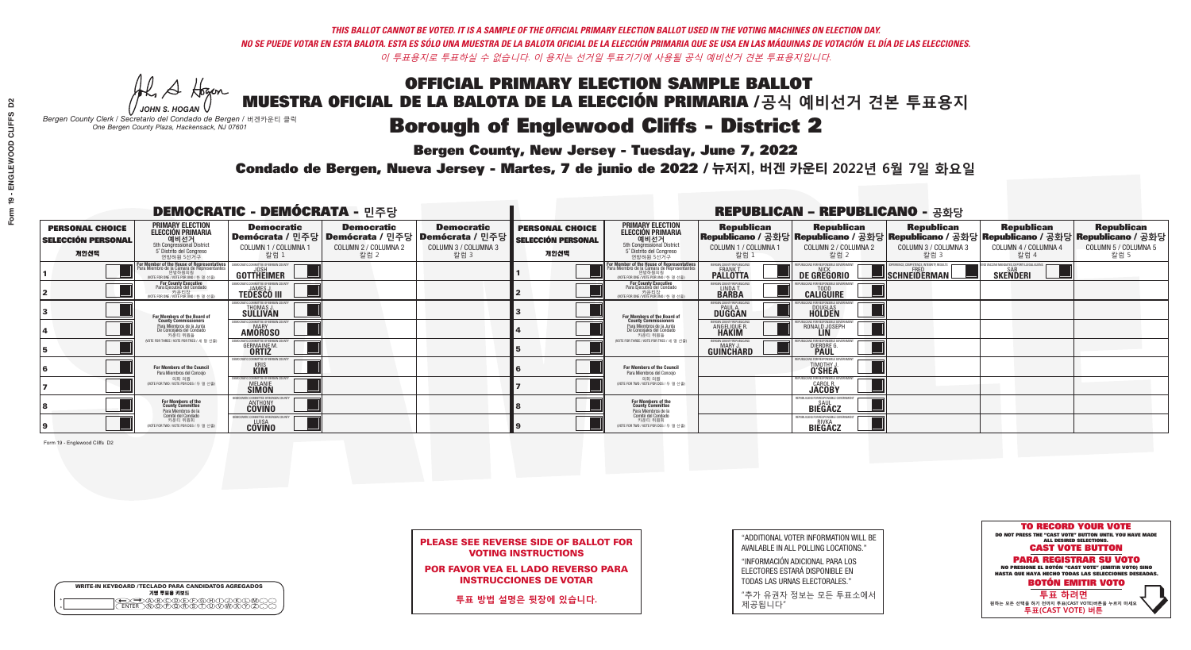A Hogen

**Bergen County, New Jersey - Tuesday, June 7, 2022** 

| <b>WRITE-IN KEYBOARD /TECLADO PARA CANDIDATOS AGREGADOS</b><br>기명 투표용 키보드 |  |
|---------------------------------------------------------------------------|--|
| )(B)C)(D)(E)(F)(G)(H)(<br>፞፞፟፟፟፝፟፟፟፟፟፝ዀ፝፟ዀ፝፟ዀ፝                            |  |

*JOHN S. HOGAN Bergen County Clerk / Secretario del Condado de Bergen /* 버겐카운티 클럭 *One Bergen County Plaza, Hackensack, NJ 07601*



|  | <b>PLEASE SEE REVERSE SIDE OF BALLOT FOR</b> |  |  |
|--|----------------------------------------------|--|--|
|  | <b>VOTING INSTRUCTIONS</b>                   |  |  |

POR FAVOR VEA EL LADO REVERSO PARA INSTRUCCIONES DE VOTAR

**투표 방법 설명은 뒷장에 있습니다.**

"ADDITIONAL VOTER INFORMATION WILL BE AVAILABLE IN ALL POLLING LOCATIONS."

"INFORMACIÓN ADICIONAL PARA LOS ELECTORES ESTARÁ DISPONIBLE EN TODAS LAS URNAS ELECTORALES."

"추가 유권자 정보는 모든 투표소에서 제공됩니다"

Condado de Bergen, Nueva Jersey - Martes, 7 de junio de 2022 / 뉴저지, 버겐 카운티 2022년 6월 7일 화요일 *One Bergen County Plaza, Hackensack, NJ 07601*

|                                                             | <b>DEMOCRATIC - DEMÓCRATA - 민주당</b>                                                                                                              |                                                                        |                                                   |                                                                                                        | <b>REPUBLICAN - REPUBLICANO - 공화당</b>                       |                                                                                                                                               |                                                            |                                                                     |                                                        |                                                                                                                                                |                                                   |
|-------------------------------------------------------------|--------------------------------------------------------------------------------------------------------------------------------------------------|------------------------------------------------------------------------|---------------------------------------------------|--------------------------------------------------------------------------------------------------------|-------------------------------------------------------------|-----------------------------------------------------------------------------------------------------------------------------------------------|------------------------------------------------------------|---------------------------------------------------------------------|--------------------------------------------------------|------------------------------------------------------------------------------------------------------------------------------------------------|---------------------------------------------------|
| <b>PERSONAL CHOICE</b><br><b>SELECCIÓN PERSONAL</b><br>개인선택 | <b>PRIMARY ELECTION</b><br><b>ELECCIÓN PRIMARIA</b><br>예비선거<br><sup>6</sup> 예비선거<br>5° Distrito del Congreso<br>연방하원 5선거구                        | <b>Democratic</b><br>COLUMN 1 / COLUMNA 1<br>칼럼 :                      | <b>Democratic</b><br>COLUMN 2 / COLUMNA 2<br>칼럼 2 | <b>Democratic</b><br>│Demócrata / 민주당│Demócrata / 민주당│Demócrata / 민주당│<br>COLUMN 3 / COLUMNA 3<br>칼럼 3 | <b>PERSONAL CHOICE</b><br><b>SELECCIÓN PERSONAL</b><br>개인선택 | <b>PRIMARY ELECTION</b><br>ELECCIÓN PRIMARIA<br>예비선거<br>5th Congressional District<br>5° Distrito del Congreso<br>연방하원 5선거구                   | <b>Republican</b><br>COLUMN 1 / COLUMNA 1<br>칼럼 :          | <b>Republican</b><br>COLUMN 2 / COLUMNA 2<br>칼럼                     | <b>Republican</b><br>COLUMN 3 / COLUMNA 3<br>칼럼 3      | <b>Republican</b><br>Republicano / 공화당 Republicano / 공화당 Republicano / 공화당 Republicano / 공화당 Republicano / 공화당<br>COLUMN 4 / COLUMNA 4<br>칼럼 4 | <b>Republican</b><br>COLUMN 5 / COLUMNA 5<br>칼럼 5 |
|                                                             | <b>In Member of the House of Representatives</b><br>ra Miembro de la Cámara de Representante<br>연방하원의원<br>(VOTE FOR ONE / VOTE POR UNO / 한 명 선출) | DEMOCRATIC COMMITTEE OF BERGEN CO<br>GOTTHEIMER                        |                                                   |                                                                                                        |                                                             | For Member of the House of Representatives<br>Para Miembro de la Cámara de Representantes<br>연방하원의원<br>(WOTE FOR ONE / VOTE POR UNO / 한 명 선출) | ERGEN COUNTY REPUBLICAN<br><b>PALLOTTA</b>                 | DE GREGORIO                                                         | ERIENCE, COMPETENCE, INTEGRITY, RESULT<br>SCHNEIDERMAN | D VACCINE MANDATES, DEPORT ILLEGAL ALIENS<br><b>SKENDERI</b>                                                                                   |                                                   |
|                                                             | <b>For County Executive</b><br>Para Ejecutivo del Condado<br>7 카운티장<br>(VOTE FOR ONE / VOTE POR UNO / 한 명 선출)                                    | JEMOCRATIC COMMITTEE OF BERGEN COUNTY<br><b>TEDESCO III</b>            |                                                   |                                                                                                        |                                                             | <b>For County Executive</b><br>Para Ejecutivo del Condado<br>7 카운티장<br>(VOTE FOR ONE / VOTE POR UNO / 한 명 선출)                                 | BERGEN COUNTY REPUBLICAN<br>LINDA T.                       | <b>CALIGUIRE</b>                                                    |                                                        |                                                                                                                                                |                                                   |
|                                                             | <b>For Members of the Board of<br/>County Commissioners</b>                                                                                      | MOCRATIC COMMITTEE OF BERGEN COUNTY<br><b>SULLIVAN</b>                 |                                                   |                                                                                                        |                                                             | For Members of the Board of<br>County Commissioners                                                                                           | ERGEN COUNTY REPUBLICAN<br><b>PAUL A.</b><br><b>DUGGAN</b> | <b>DOUGLAS</b>                                                      |                                                        |                                                                                                                                                |                                                   |
|                                                             | Para Miembros de la Junta<br>De Concejales del Condado<br>카우티 위원들                                                                                | )CRATIC COMMITTEE OF BERGEN COUNTY<br><b>MARY</b><br><b>AMOROSO</b>    |                                                   |                                                                                                        |                                                             | Para Miembros de la Junta<br>De Concejales del Condado<br>카우티 위원들                                                                             | ERGEN COUNTY REPUBLICAN<br><b>ANGELIQUE R<br/>HAKIM</b>    | RONALD JOSEPH                                                       |                                                        |                                                                                                                                                |                                                   |
|                                                             | NOTE FOR THREE / VOTE POR TRES / 세 명 선출)                                                                                                         | RATIC COMMITTEE OF BERGEN CO:<br><b>GERMAINE M.</b>                    |                                                   |                                                                                                        |                                                             | (VOTE FOR THREE / VOTE POR TRES / 세 명 선출                                                                                                      | BERGEN COUNTY REPUBLICANS<br>MARY .I<br>GUINCHARD          | FOR RESPONSIBLE GO<br><b>DIERDRE</b> Q                              |                                                        |                                                                                                                                                |                                                   |
|                                                             | For Members of the Council<br>Para Miembros del Conceio                                                                                          | EMOCRATIC COMMITTEE OF BERGEN CO<br><b>KRIS</b><br>KIM                 |                                                   |                                                                                                        |                                                             | <b>For Members of the Council</b><br>Para Miembros del Conceio                                                                                |                                                            | HIRLICANS EOR RESPONSIBLE (<br><b>TIMOTHY J.</b>                    |                                                        |                                                                                                                                                |                                                   |
|                                                             | 의회 의원<br>NOTE FOR TWO / VOTE POR DOS / 두 명 선출)                                                                                                   | EMOCRATIC COMMITTEE OF BERGEN COUNTY<br><b>MELANIE</b><br><b>SIMON</b> |                                                   |                                                                                                        |                                                             | 의회 의원<br>WOTE FOR TWO / VOTE POR DOS / 두 명 선출)                                                                                                |                                                            | FPUBLICANS FOR RESPONSIBLE GOVI<br><b>CAROL R.</b><br><b>JACOBY</b> |                                                        |                                                                                                                                                |                                                   |
|                                                             | For Members of the<br>County Committee<br>Para Miembros de la                                                                                    | IOCRATIC COMMITTEE OF BERGEI<br><b>ANTHONY</b>                         |                                                   |                                                                                                        |                                                             | For Members of the<br>County Committee<br>Para Miembros de la<br>Comité del Condado                                                           |                                                            | REPUBLICANS FOR RESPONSIBLE<br><b>BIEGACZ</b>                       |                                                        |                                                                                                                                                |                                                   |
|                                                             | Comité del Condado<br>카운티 위원회<br>(VOTE FOR TWO / VOTE POR DOS / 두 명 선출)                                                                          | <b>FMOCRATIC COMMITTEF OF BERGEN (</b><br><b>COVINO</b>                |                                                   |                                                                                                        |                                                             | 카운티 위원회<br>WOTE FOR TWO / VOTE POR DOS / 두 명 선출)                                                                                              |                                                            | REPUBLICANS FOR RESPONSIBLE<br><b>BIEGACZ</b>                       |                                                        |                                                                                                                                                |                                                   |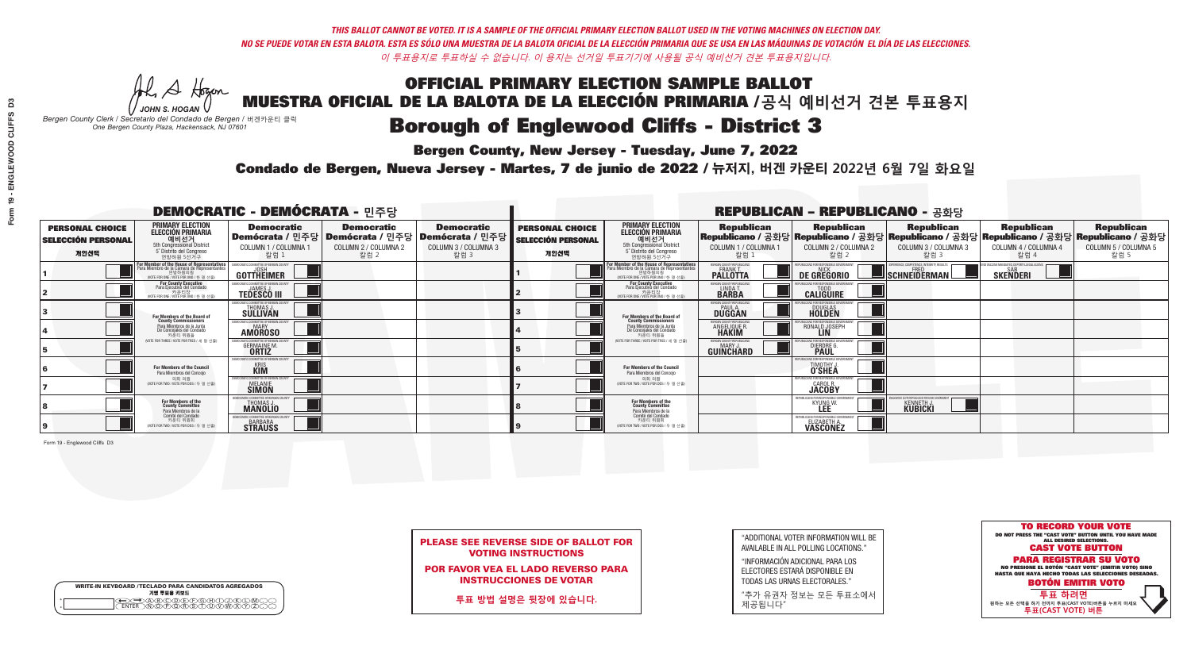A Hogen

**Bergen County, New Jersey - Tuesday, June 7, 2022** 

| <b>WRITE-IN KEYBOARD /TECLADO PARA CANDIDATOS AGREGADOS</b><br>기명 투표용 키보드 |  |
|---------------------------------------------------------------------------|--|
| )A)B)C)DE)F)G)H)DI)K<br>ዄ <u>ዀ፝፟</u> ዀ፝ዾ፝ዾዿ፝ዾ፝                            |  |

*JOHN S. HOGAN Bergen County Clerk / Secretario del Condado de Bergen /* 버겐카운티 클럭 *One Bergen County Plaza, Hackensack, NJ 07601*

Condado de Bergen, Nueva Jersey - Martes, 7 de junio de 2022 / 뉴저지, 버겐 카운티 2022년 6월 7일 화요일 *One Bergen County Plaza, Hackensack, NJ 07601*



PLEASE SEE REVERSE SIDE OF BALLOT FOR VOTING INSTRUCTIONS

POR FAVOR VEA EL LADO REVERSO PARA INSTRUCCIONES DE VOTAR

**투표 방법 설명은 뒷장에 있습니다.**

| "ADDITIONAL VOTER INFORMATION WILL BE |
|---------------------------------------|
| AVAILABLE IN ALL POLLING LOCATIONS."  |

"INFORMACIÓN ADICIONAL PARA LOS ELECTORES ESTARÁ DISPONIBLE EN TODAS LAS URNAS ELECTORALES."

"추가 유권자 정보는 모든 투표소에서 제공됩니다"

|                                                             | <b>DEMOCRATIC - DEMÓCRATA - 민주당</b>                                                                                                       |                                                                                       |                                                   |                                                                             |                                                             | <b>REPUBLICAN - REPUBLICANO - 공화당</b>                                                                                               |                                                   |                                                                                                                                              |                                                          |                                                                |                                                   |
|-------------------------------------------------------------|-------------------------------------------------------------------------------------------------------------------------------------------|---------------------------------------------------------------------------------------|---------------------------------------------------|-----------------------------------------------------------------------------|-------------------------------------------------------------|-------------------------------------------------------------------------------------------------------------------------------------|---------------------------------------------------|----------------------------------------------------------------------------------------------------------------------------------------------|----------------------------------------------------------|----------------------------------------------------------------|---------------------------------------------------|
| <b>PERSONAL CHOICE</b><br><b>SELECCIÓN PERSONAL</b><br>개인선택 | <b>PRIMARY ELECTION</b><br>ELECCIÓN PRIMARIA<br>예비선거<br><sub>5th Congressional District</sub><br>5° Distrito del Congreso<br>연방하원 5선거구    | <b>Democratic</b><br>│Demócrata / 민주당│Demócrata / 민주당<br>COLUMN 1 / COLUMNA 1<br>칼럼 1 | <b>Democratic</b><br>COLUMN 2 / COLUMNA 2<br>칼럼 2 | <b>Democratic</b><br><b>Demócrata / 민주당</b><br>COLUMN 3 / COLUMNA 3<br>칼럼 3 | <b>PERSONAL CHOICE</b><br><b>SELECCIÓN PERSONAL</b><br>개인선택 | <b>PRIMARY ELECTION</b><br>ELECCIÓN PRIMARIA<br>5th Congressional District<br>5° Distrito del Congreso<br>연방하원 5선거구                 | <b>Republican</b><br>COLUMN 1 / COLUMNA 1<br>칼럼 : | <b>Republican</b><br>Republicano / 공화당 Republicano / 공화당 Republicano / 공화당 Republicano / 공화당 Republicano / 공화당<br>COLUMN 2 / COLUMNA 2<br>칼럼 | <b>Republican</b><br>COLUMN 3 / COLUMNA 3<br>칼럼 3        | <b>Republican</b><br>COLUMN 4 / COLUMNA 4<br>칼럼 4              | <b>Republican</b><br>COLUMN 5 / COLUMNA 5<br>칼럼 5 |
|                                                             | or Member of the House of Representatives<br>ra Miembro de la Cámara de Representante<br>연방하원의원<br>(VOTE FOR ONE / VOTE POR UNO / 한 명 선출) | DEMOCRATIC COMMITTEE OF BERGEN COUNTY<br>GOTTHEIMER                                   |                                                   |                                                                             |                                                             | For Member of the House of Representatives<br>Para Miembro de la Cámara de Representantes<br>(VOTE FOR ONE / VOTE POR UNO / 한 명 선출) | ERGEN COUNTY REPUBLICAN<br><b>PALLOTTA</b>        | DE GREGORIO                                                                                                                                  | PERIENCE, COMPETENCE, INTEGRITY, RESULTS<br>SCHNEIDERMAN | ND VACCINE MANDATES, DEPORT ILLEGAL ALIENS.<br><b>SKENDERI</b> |                                                   |
|                                                             | <b>For County Executive</b><br>Para Ejecutivo del Condado<br>WOTE FOR ONE / VOTE POR UNO / 한 명 선출)                                        | JEMOCRATIC COMMITTEE OF BERGEN COUNTY<br><b>TEDESCO III</b>                           |                                                   |                                                                             |                                                             | <b>For County Executive</b><br>Para Ejecutivo del Condado<br>7) 카운티장<br>(VOTE FOR ONE / VOTE POR UNO / 한 명 선출)                      | BERGEN COUNTY REPUBLICAN<br>LINDA T.              | <b>CALIGUIRE</b>                                                                                                                             |                                                          |                                                                |                                                   |
|                                                             | <b>For Members of the Board of<br/>County Commissioners</b>                                                                               | MOCRATIC COMMITTEE OF BERGEN COUNTY<br><b>SULLIVAN</b>                                |                                                   |                                                                             |                                                             | For Members of the Board of<br>County Commissioners                                                                                 | ERGEN COUNTY REPUBLICAN<br><b>DUGGAN</b>          | <b>DOUGLAS</b><br><b>HOLDEN</b>                                                                                                              |                                                          |                                                                |                                                   |
|                                                             | Para Miembros de la Junta<br>De Concejales del Condado<br>카운티 위원들                                                                         | OCRATIC COMMITTEE OF BERGEN COUNT<br><b>AMOROSO</b>                                   |                                                   |                                                                             |                                                             | Para Miembros de la Junta<br>De Concejales del Condado<br>카우티 위원들                                                                   | <b>ERGEN COUNTY REPUBLICAN!</b><br>ANGELIQUE R    | RONALD JOSEPH                                                                                                                                |                                                          |                                                                |                                                   |
|                                                             | NOTE FOR THREE / VOTE POR TRES / 세 명 선출)                                                                                                  | RATIC COMMITTEE OF BERGEN CO:<br><b>GERMAINE M.</b>                                   |                                                   |                                                                             |                                                             | NOTE FOR THREE / VOTE POR TRES / 세 명 선출                                                                                             | BERGEN COUNTY REPUBLICANS<br>MARY J<br>GUINCHARD  | S FOR RESPONSIBI E GO<br><b>DIERDRE</b>                                                                                                      |                                                          |                                                                |                                                   |
|                                                             | For Members of the Council<br>Para Miembros del Conceio                                                                                   | <b>EMOCRATIC COMMITTEE OF BERGEN COUNT</b><br><b>KRIS</b><br><b>KIM</b>               |                                                   |                                                                             |                                                             | For Members of the Council<br>Para Miembros del Conceio                                                                             |                                                   | 'HRI ICANS ENR RESPONSIRI E (<br>TIMOTHY J.                                                                                                  |                                                          |                                                                |                                                   |
|                                                             | 의회 의원<br>NOTE FOR TWO / VOTE POR DOS / 두 명 선출)                                                                                            | EMOCRATIC COMMITTEE OF BERGEN COUNTY<br><b>MELANIE</b><br><b>SIMON</b>                |                                                   |                                                                             |                                                             | 의회 의원<br>(VOTE FOR TWO / VOTE POR DOS / 두 명 선출)                                                                                     |                                                   | <b>EPUBLICANS FOR RESPONSIBLE GOVERNMEN</b><br><b>CAROL R.</b><br><b>JACOBY</b>                                                              |                                                          |                                                                |                                                   |
|                                                             | For Members of the<br>County Committee<br>Para Miembros de la                                                                             | IOCRATIC COMMITTEE OF BERGE<br>THOMAS J.                                              |                                                   |                                                                             |                                                             | For Members of the<br>County Committee<br>Para Miembros de la<br>Comité del Condado                                                 |                                                   | REPUBLICANS FOR RESPONSIBI<br><b>KYUNG W</b><br>LEE                                                                                          | <b>KENNETH J.</b><br>KUBICKI                             |                                                                |                                                   |
|                                                             | Comité del Condado<br>카운티 위원회<br>(VOTE FOR TWO / VOTE POR DOS / 두 명 선출)                                                                   | FMOCRATIC COMMITTEF OF BERGEN<br><b>STRAUSS</b>                                       |                                                   |                                                                             |                                                             | 카운티 위원회<br>WOTE FOR TWO / VOTE POR DOS / 두 명 선출)                                                                                    |                                                   | REPUBLICANS FOR RESPONSIBLE GI<br>ELIZABETH A.                                                                                               |                                                          |                                                                |                                                   |